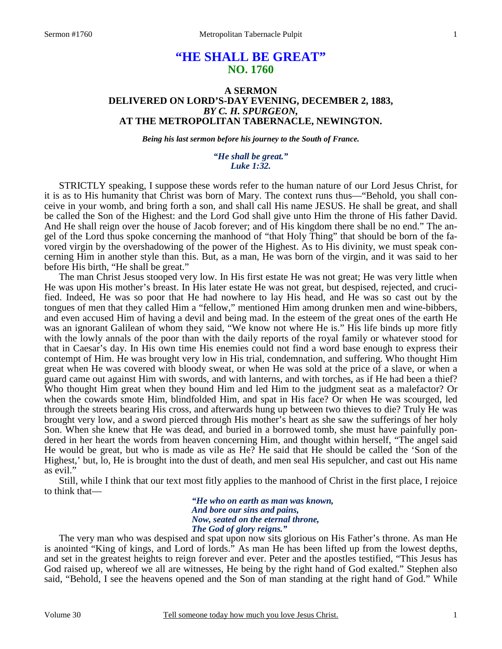## **"HE SHALL BE GREAT" NO. 1760**

## **A SERMON DELIVERED ON LORD'S-DAY EVENING, DECEMBER 2, 1883,**  *BY C. H. SPURGEON,*  **AT THE METROPOLITAN TABERNACLE, NEWINGTON.**

*Being his last sermon before his journey to the South of France.* 

*"He shall be great." Luke 1:32.* 

STRICTLY speaking, I suppose these words refer to the human nature of our Lord Jesus Christ, for it is as to His humanity that Christ was born of Mary. The context runs thus—"Behold, you shall conceive in your womb, and bring forth a son, and shall call His name JESUS. He shall be great, and shall be called the Son of the Highest: and the Lord God shall give unto Him the throne of His father David. And He shall reign over the house of Jacob forever; and of His kingdom there shall be no end." The angel of the Lord thus spoke concerning the manhood of "that Holy Thing" that should be born of the favored virgin by the overshadowing of the power of the Highest. As to His divinity, we must speak concerning Him in another style than this. But, as a man, He was born of the virgin, and it was said to her before His birth, "He shall be great."

 The man Christ Jesus stooped very low. In His first estate He was not great; He was very little when He was upon His mother's breast. In His later estate He was not great, but despised, rejected, and crucified. Indeed, He was so poor that He had nowhere to lay His head, and He was so cast out by the tongues of men that they called Him a "fellow," mentioned Him among drunken men and wine-bibbers, and even accused Him of having a devil and being mad. In the esteem of the great ones of the earth He was an ignorant Galilean of whom they said, "We know not where He is." His life binds up more fitly with the lowly annals of the poor than with the daily reports of the royal family or whatever stood for that in Caesar's day. In His own time His enemies could not find a word base enough to express their contempt of Him. He was brought very low in His trial, condemnation, and suffering. Who thought Him great when He was covered with bloody sweat, or when He was sold at the price of a slave, or when a guard came out against Him with swords, and with lanterns, and with torches, as if He had been a thief? Who thought Him great when they bound Him and led Him to the judgment seat as a malefactor? Or when the cowards smote Him, blindfolded Him, and spat in His face? Or when He was scourged, led through the streets bearing His cross, and afterwards hung up between two thieves to die? Truly He was brought very low, and a sword pierced through His mother's heart as she saw the sufferings of her holy Son. When she knew that He was dead, and buried in a borrowed tomb, she must have painfully pondered in her heart the words from heaven concerning Him, and thought within herself, "The angel said He would be great, but who is made as vile as He? He said that He should be called the 'Son of the Highest,' but, lo, He is brought into the dust of death, and men seal His sepulcher, and cast out His name as evil."

 Still, while I think that our text most fitly applies to the manhood of Christ in the first place, I rejoice to think that—

> *"He who on earth as man was known, And bore our sins and pains, Now, seated on the eternal throne, The God of glory reigns."*

 The very man who was despised and spat upon now sits glorious on His Father's throne. As man He is anointed "King of kings, and Lord of lords." As man He has been lifted up from the lowest depths, and set in the greatest heights to reign forever and ever. Peter and the apostles testified, "This Jesus has God raised up, whereof we all are witnesses, He being by the right hand of God exalted." Stephen also said, "Behold, I see the heavens opened and the Son of man standing at the right hand of God." While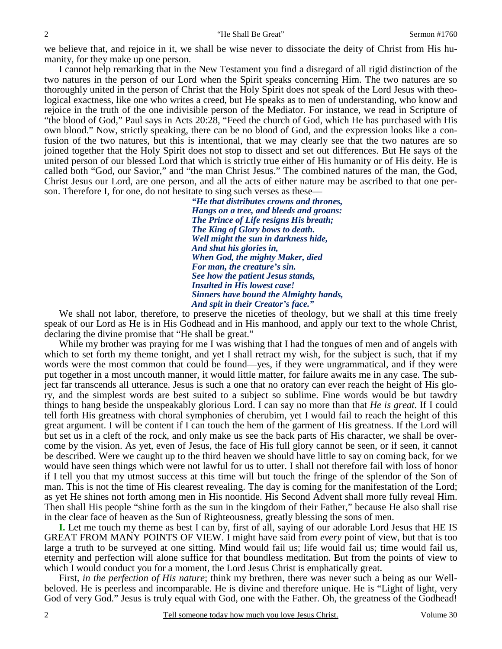we believe that, and rejoice in it, we shall be wise never to dissociate the deity of Christ from His humanity, for they make up one person.

 I cannot help remarking that in the New Testament you find a disregard of all rigid distinction of the two natures in the person of our Lord when the Spirit speaks concerning Him. The two natures are so thoroughly united in the person of Christ that the Holy Spirit does not speak of the Lord Jesus with theological exactness, like one who writes a creed, but He speaks as to men of understanding, who know and rejoice in the truth of the one indivisible person of the Mediator. For instance, we read in Scripture of "the blood of God," Paul says in Acts 20:28, "Feed the church of God, which He has purchased with His own blood." Now, strictly speaking, there can be no blood of God, and the expression looks like a confusion of the two natures, but this is intentional, that we may clearly see that the two natures are so joined together that the Holy Spirit does not stop to dissect and set out differences. But He says of the united person of our blessed Lord that which is strictly true either of His humanity or of His deity. He is called both "God, our Savior," and "the man Christ Jesus." The combined natures of the man, the God, Christ Jesus our Lord, are one person, and all the acts of either nature may be ascribed to that one person. Therefore I, for one, do not hesitate to sing such verses as these—

> *"He that distributes crowns and thrones, Hangs on a tree, and bleeds and groans: The Prince of Life resigns His breath; The King of Glory bows to death. Well might the sun in darkness hide, And shut his glories in, When God, the mighty Maker, died For man, the creature's sin. See how the patient Jesus stands, Insulted in His lowest case! Sinners have bound the Almighty hands, And spit in their Creator's face."*

 We shall not labor, therefore, to preserve the niceties of theology, but we shall at this time freely speak of our Lord as He is in His Godhead and in His manhood, and apply our text to the whole Christ, declaring the divine promise that "He shall be great."

 While my brother was praying for me I was wishing that I had the tongues of men and of angels with which to set forth my theme tonight, and yet I shall retract my wish, for the subject is such, that if my words were the most common that could be found—yes, if they were ungrammatical, and if they were put together in a most uncouth manner, it would little matter, for failure awaits me in any case. The subject far transcends all utterance. Jesus is such a one that no oratory can ever reach the height of His glory, and the simplest words are best suited to a subject so sublime. Fine words would be but tawdry things to hang beside the unspeakably glorious Lord. I can say no more than that *He is great*. If I could tell forth His greatness with choral symphonies of cherubim, yet I would fail to reach the height of this great argument. I will be content if I can touch the hem of the garment of His greatness. If the Lord will but set us in a cleft of the rock, and only make us see the back parts of His character, we shall be overcome by the vision. As yet, even of Jesus, the face of His full glory cannot be seen, or if seen, it cannot be described. Were we caught up to the third heaven we should have little to say on coming back, for we would have seen things which were not lawful for us to utter. I shall not therefore fail with loss of honor if I tell you that my utmost success at this time will but touch the fringe of the splendor of the Son of man. This is not the time of His clearest revealing. The day is coming for the manifestation of the Lord; as yet He shines not forth among men in His noontide. His Second Advent shall more fully reveal Him. Then shall His people "shine forth as the sun in the kingdom of their Father," because He also shall rise in the clear face of heaven as the Sun of Righteousness, greatly blessing the sons of men.

**I.** Let me touch my theme as best I can by, first of all, saying of our adorable Lord Jesus that HE IS GREAT FROM MANY POINTS OF VIEW. I might have said from *every* point of view, but that is too large a truth to be surveyed at one sitting. Mind would fail us; life would fail us; time would fail us, eternity and perfection will alone suffice for that boundless meditation. But from the points of view to which I would conduct you for a moment, the Lord Jesus Christ is emphatically great.

 First, *in the perfection of His nature*; think my brethren, there was never such a being as our Wellbeloved. He is peerless and incomparable. He is divine and therefore unique. He is "Light of light, very God of very God." Jesus is truly equal with God, one with the Father. Oh, the greatness of the Godhead!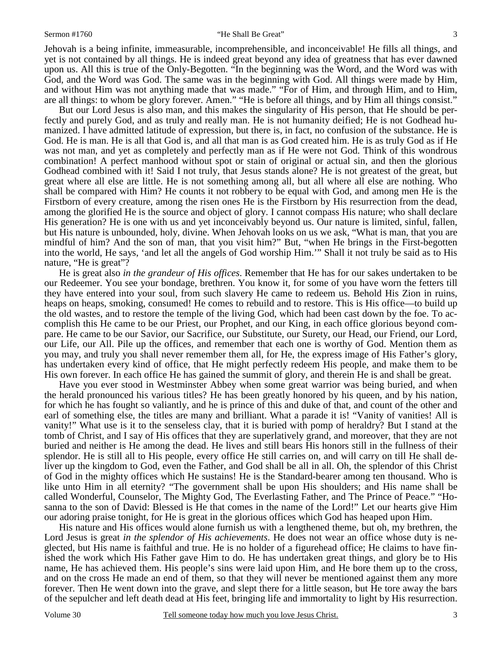Jehovah is a being infinite, immeasurable, incomprehensible, and inconceivable! He fills all things, and yet is not contained by all things. He is indeed great beyond any idea of greatness that has ever dawned upon us. All this is true of the Only-Begotten. "In the beginning was the Word, and the Word was with God, and the Word was God. The same was in the beginning with God. All things were made by Him, and without Him was not anything made that was made." "For of Him, and through Him, and to Him, are all things: to whom be glory forever. Amen." "He is before all things, and by Him all things consist."

 But our Lord Jesus is also man, and this makes the singularity of His person, that He should be perfectly and purely God, and as truly and really man. He is not humanity deified; He is not Godhead humanized. I have admitted latitude of expression, but there is, in fact, no confusion of the substance. He is God. He is man. He is all that God is, and all that man is as God created him. He is as truly God as if He was not man, and yet as completely and perfectly man as if He were not God. Think of this wondrous combination! A perfect manhood without spot or stain of original or actual sin, and then the glorious Godhead combined with it! Said I not truly, that Jesus stands alone? He is not greatest of the great, but great where all else are little. He is not something among all, but all where all else are nothing. Who shall be compared with Him? He counts it not robbery to be equal with God, and among men He is the Firstborn of every creature, among the risen ones He is the Firstborn by His resurrection from the dead, among the glorified He is the source and object of glory. I cannot compass His nature; who shall declare His generation? He is one with us and yet inconceivably beyond us. Our nature is limited, sinful, fallen, but His nature is unbounded, holy, divine. When Jehovah looks on us we ask, "What is man, that you are mindful of him? And the son of man, that you visit him?" But, "when He brings in the First-begotten into the world, He says, 'and let all the angels of God worship Him.'" Shall it not truly be said as to His nature, "He is great"?

 He is great also *in the grandeur of His offices*. Remember that He has for our sakes undertaken to be our Redeemer. You see your bondage, brethren. You know it, for some of you have worn the fetters till they have entered into your soul, from such slavery He came to redeem us. Behold His Zion in ruins, heaps on heaps, smoking, consumed! He comes to rebuild and to restore. This is His office—to build up the old wastes, and to restore the temple of the living God, which had been cast down by the foe. To accomplish this He came to be our Priest, our Prophet, and our King, in each office glorious beyond compare. He came to be our Savior, our Sacrifice, our Substitute, our Surety, our Head, our Friend, our Lord, our Life, our All. Pile up the offices, and remember that each one is worthy of God. Mention them as you may, and truly you shall never remember them all, for He, the express image of His Father's glory, has undertaken every kind of office, that He might perfectly redeem His people, and make them to be His own forever. In each office He has gained the summit of glory, and therein He is and shall be great.

 Have you ever stood in Westminster Abbey when some great warrior was being buried, and when the herald pronounced his various titles? He has been greatly honored by his queen, and by his nation, for which he has fought so valiantly, and he is prince of this and duke of that, and count of the other and earl of something else, the titles are many and brilliant. What a parade it is! "Vanity of vanities! All is vanity!" What use is it to the senseless clay, that it is buried with pomp of heraldry? But I stand at the tomb of Christ, and I say of His offices that they are superlatively grand, and moreover, that they are not buried and neither is He among the dead. He lives and still bears His honors still in the fullness of their splendor. He is still all to His people, every office He still carries on, and will carry on till He shall deliver up the kingdom to God, even the Father, and God shall be all in all. Oh, the splendor of this Christ of God in the mighty offices which He sustains! He is the Standard-bearer among ten thousand. Who is like unto Him in all eternity? "The government shall be upon His shoulders; and His name shall be called Wonderful, Counselor, The Mighty God, The Everlasting Father, and The Prince of Peace." "Hosanna to the son of David: Blessed is He that comes in the name of the Lord!" Let our hearts give Him our adoring praise tonight, for He is great in the glorious offices which God has heaped upon Him.

 His nature and His offices would alone furnish us with a lengthened theme, but oh, my brethren, the Lord Jesus is great *in the splendor of His achievements*. He does not wear an office whose duty is neglected, but His name is faithful and true. He is no holder of a figurehead office; He claims to have finished the work which His Father gave Him to do. He has undertaken great things, and glory be to His name, He has achieved them. His people's sins were laid upon Him, and He bore them up to the cross, and on the cross He made an end of them, so that they will never be mentioned against them any more forever. Then He went down into the grave, and slept there for a little season, but He tore away the bars of the sepulcher and left death dead at His feet, bringing life and immortality to light by His resurrection.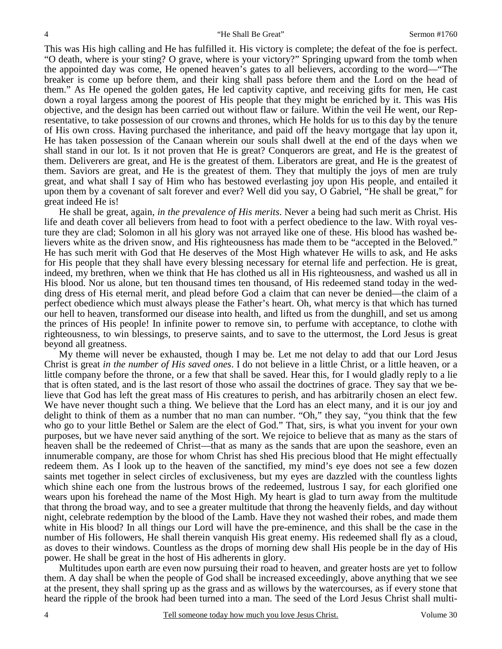This was His high calling and He has fulfilled it. His victory is complete; the defeat of the foe is perfect. "O death, where is your sting? O grave, where is your victory?" Springing upward from the tomb when the appointed day was come, He opened heaven's gates to all believers, according to the word—"The breaker is come up before them, and their king shall pass before them and the Lord on the head of them." As He opened the golden gates, He led captivity captive, and receiving gifts for men, He cast down a royal largess among the poorest of His people that they might be enriched by it. This was His objective, and the design has been carried out without flaw or failure. Within the veil He went, our Representative, to take possession of our crowns and thrones, which He holds for us to this day by the tenure of His own cross. Having purchased the inheritance, and paid off the heavy mortgage that lay upon it, He has taken possession of the Canaan wherein our souls shall dwell at the end of the days when we shall stand in our lot. Is it not proven that He is great? Conquerors are great, and He is the greatest of them. Deliverers are great, and He is the greatest of them. Liberators are great, and He is the greatest of them. Saviors are great, and He is the greatest of them. They that multiply the joys of men are truly great, and what shall I say of Him who has bestowed everlasting joy upon His people, and entailed it upon them by a covenant of salt forever and ever? Well did you say, O Gabriel, "He shall be great," for great indeed He is!

 He shall be great, again, *in the prevalence of His merits*. Never a being had such merit as Christ. His life and death cover all believers from head to foot with a perfect obedience to the law. With royal vesture they are clad; Solomon in all his glory was not arrayed like one of these. His blood has washed believers white as the driven snow, and His righteousness has made them to be "accepted in the Beloved." He has such merit with God that He deserves of the Most High whatever He wills to ask, and He asks for His people that they shall have every blessing necessary for eternal life and perfection. He is great, indeed, my brethren, when we think that He has clothed us all in His righteousness, and washed us all in His blood. Nor us alone, but ten thousand times ten thousand, of His redeemed stand today in the wedding dress of His eternal merit, and plead before God a claim that can never be denied—the claim of a perfect obedience which must always please the Father's heart. Oh, what mercy is that which has turned our hell to heaven, transformed our disease into health, and lifted us from the dunghill, and set us among the princes of His people! In infinite power to remove sin, to perfume with acceptance, to clothe with righteousness, to win blessings, to preserve saints, and to save to the uttermost, the Lord Jesus is great beyond all greatness.

 My theme will never be exhausted, though I may be. Let me not delay to add that our Lord Jesus Christ is great *in the number of His saved ones*. I do not believe in a little Christ, or a little heaven, or a little company before the throne, or a few that shall be saved. Hear this, for I would gladly reply to a lie that is often stated, and is the last resort of those who assail the doctrines of grace. They say that we believe that God has left the great mass of His creatures to perish, and has arbitrarily chosen an elect few. We have never thought such a thing. We believe that the Lord has an elect many, and it is our joy and delight to think of them as a number that no man can number. "Oh," they say, "you think that the few who go to your little Bethel or Salem are the elect of God." That, sirs, is what you invent for your own purposes, but we have never said anything of the sort. We rejoice to believe that as many as the stars of heaven shall be the redeemed of Christ—that as many as the sands that are upon the seashore, even an innumerable company, are those for whom Christ has shed His precious blood that He might effectually redeem them. As I look up to the heaven of the sanctified, my mind's eye does not see a few dozen saints met together in select circles of exclusiveness, but my eyes are dazzled with the countless lights which shine each one from the lustrous brows of the redeemed, lustrous I say, for each glorified one wears upon his forehead the name of the Most High. My heart is glad to turn away from the multitude that throng the broad way, and to see a greater multitude that throng the heavenly fields, and day without night, celebrate redemption by the blood of the Lamb. Have they not washed their robes, and made them white in His blood? In all things our Lord will have the pre-eminence, and this shall be the case in the number of His followers, He shall therein vanquish His great enemy. His redeemed shall fly as a cloud, as doves to their windows. Countless as the drops of morning dew shall His people be in the day of His power. He shall be great in the host of His adherents in glory.

 Multitudes upon earth are even now pursuing their road to heaven, and greater hosts are yet to follow them. A day shall be when the people of God shall be increased exceedingly, above anything that we see at the present, they shall spring up as the grass and as willows by the watercourses, as if every stone that heard the ripple of the brook had been turned into a man. The seed of the Lord Jesus Christ shall multi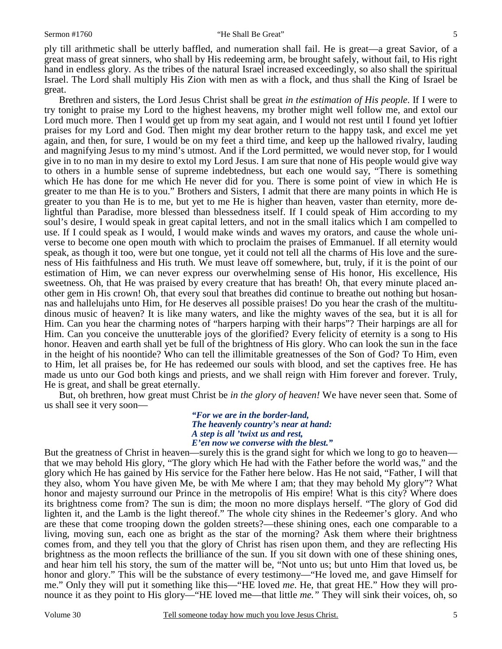ply till arithmetic shall be utterly baffled, and numeration shall fail. He is great—a great Savior, of a great mass of great sinners, who shall by His redeeming arm, be brought safely, without fail, to His right hand in endless glory. As the tribes of the natural Israel increased exceedingly, so also shall the spiritual Israel. The Lord shall multiply His Zion with men as with a flock, and thus shall the King of Israel be great.

 Brethren and sisters, the Lord Jesus Christ shall be great *in the estimation of His people*. If I were to try tonight to praise my Lord to the highest heavens, my brother might well follow me, and extol our Lord much more. Then I would get up from my seat again, and I would not rest until I found yet loftier praises for my Lord and God. Then might my dear brother return to the happy task, and excel me yet again, and then, for sure, I would be on my feet a third time, and keep up the hallowed rivalry, lauding and magnifying Jesus to my mind's utmost. And if the Lord permitted, we would never stop, for I would give in to no man in my desire to extol my Lord Jesus. I am sure that none of His people would give way to others in a humble sense of supreme indebtedness, but each one would say, "There is something which He has done for me which He never did for you. There is some point of view in which He is greater to me than He is to you." Brothers and Sisters, I admit that there are many points in which He is greater to you than He is to me, but yet to me He is higher than heaven, vaster than eternity, more delightful than Paradise, more blessed than blessedness itself. If I could speak of Him according to my soul's desire, I would speak in great capital letters, and not in the small italics which I am compelled to use. If I could speak as I would, I would make winds and waves my orators, and cause the whole universe to become one open mouth with which to proclaim the praises of Emmanuel. If all eternity would speak, as though it too, were but one tongue, yet it could not tell all the charms of His love and the sureness of His faithfulness and His truth. We must leave off somewhere, but, truly, if it is the point of our estimation of Him, we can never express our overwhelming sense of His honor, His excellence, His sweetness. Oh, that He was praised by every creature that has breath! Oh, that every minute placed another gem in His crown! Oh, that every soul that breathes did continue to breathe out nothing but hosannas and hallelujahs unto Him, for He deserves all possible praises! Do you hear the crash of the multitudinous music of heaven? It is like many waters, and like the mighty waves of the sea, but it is all for Him. Can you hear the charming notes of "harpers harping with their harps"? Their harpings are all for Him. Can you conceive the unutterable joys of the glorified? Every felicity of eternity is a song to His honor. Heaven and earth shall yet be full of the brightness of His glory. Who can look the sun in the face in the height of his noontide? Who can tell the illimitable greatnesses of the Son of God? To Him, even to Him, let all praises be, for He has redeemed our souls with blood, and set the captives free. He has made us unto our God both kings and priests, and we shall reign with Him forever and forever. Truly, He is great, and shall be great eternally.

 But, oh brethren, how great must Christ be *in the glory of heaven!* We have never seen that. Some of us shall see it very soon—

> *"For we are in the border-land, The heavenly country's near at hand: A step is all 'twixt us and rest, E'en now we converse with the blest."*

But the greatness of Christ in heaven—surely this is the grand sight for which we long to go to heaven that we may behold His glory, "The glory which He had with the Father before the world was," and the glory which He has gained by His service for the Father here below. Has He not said, "Father, I will that they also, whom You have given Me, be with Me where I am; that they may behold My glory"? What honor and majesty surround our Prince in the metropolis of His empire! What is this city? Where does its brightness come from? The sun is dim; the moon no more displays herself. "The glory of God did lighten it, and the Lamb is the light thereof." The whole city shines in the Redeemer's glory. And who are these that come trooping down the golden streets?—these shining ones, each one comparable to a living, moving sun, each one as bright as the star of the morning? Ask them where their brightness comes from, and they tell you that the glory of Christ has risen upon them, and they are reflecting His brightness as the moon reflects the brilliance of the sun. If you sit down with one of these shining ones, and hear him tell his story, the sum of the matter will be, "Not unto us; but unto Him that loved us, be honor and glory." This will be the substance of every testimony—"He loved me, and gave Himself for me." Only they will put it something like this—"HE loved *me*. He, that great HE." How they will pronounce it as they point to His glory—"HE loved me—that little *me."* They will sink their voices, oh, so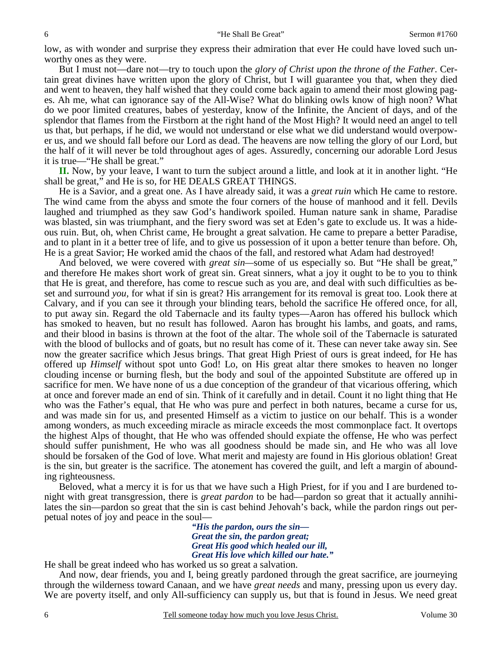low, as with wonder and surprise they express their admiration that ever He could have loved such unworthy ones as they were.

 But I must not—dare not—try to touch upon the *glory of Christ upon the throne of the Father*. Certain great divines have written upon the glory of Christ, but I will guarantee you that, when they died and went to heaven, they half wished that they could come back again to amend their most glowing pages. Ah me, what can ignorance say of the All-Wise? What do blinking owls know of high noon? What do we poor limited creatures, babes of yesterday, know of the Infinite, the Ancient of days, and of the splendor that flames from the Firstborn at the right hand of the Most High? It would need an angel to tell us that, but perhaps, if he did, we would not understand or else what we did understand would overpower us, and we should fall before our Lord as dead. The heavens are now telling the glory of our Lord, but the half of it will never be told throughout ages of ages. Assuredly, concerning our adorable Lord Jesus it is true—"He shall be great."

**II.** Now, by your leave, I want to turn the subject around a little, and look at it in another light. "He shall be great," and He is so, for HE DEALS GREAT THINGS.

 He is a Savior, and a great one. As I have already said, it was a *great ruin* which He came to restore. The wind came from the abyss and smote the four corners of the house of manhood and it fell. Devils laughed and triumphed as they saw God's handiwork spoiled. Human nature sank in shame, Paradise was blasted, sin was triumphant, and the fiery sword was set at Eden's gate to exclude us. It was a hideous ruin. But, oh, when Christ came, He brought a great salvation. He came to prepare a better Paradise, and to plant in it a better tree of life, and to give us possession of it upon a better tenure than before. Oh, He is a great Savior; He worked amid the chaos of the fall, and restored what Adam had destroyed!

 And beloved, we were covered with *great sin—*some of us especially so. But "He shall be great," and therefore He makes short work of great sin. Great sinners, what a joy it ought to be to you to think that He is great, and therefore, has come to rescue such as you are, and deal with such difficulties as beset and surround *you,* for what if sin is great? His arrangement for its removal is great too. Look there at Calvary, and if you can see it through your blinding tears, behold the sacrifice He offered once, for all, to put away sin. Regard the old Tabernacle and its faulty types—Aaron has offered his bullock which has smoked to heaven, but no result has followed. Aaron has brought his lambs, and goats, and rams, and their blood in basins is thrown at the foot of the altar. The whole soil of the Tabernacle is saturated with the blood of bullocks and of goats, but no result has come of it. These can never take away sin. See now the greater sacrifice which Jesus brings. That great High Priest of ours is great indeed, for He has offered up *Himself* without spot unto God! Lo, on His great altar there smokes to heaven no longer clouding incense or burning flesh, but the body and soul of the appointed Substitute are offered up in sacrifice for men. We have none of us a due conception of the grandeur of that vicarious offering, which at once and forever made an end of sin. Think of it carefully and in detail. Count it no light thing that He who was the Father's equal, that He who was pure and perfect in both natures, became a curse for us, and was made sin for us, and presented Himself as a victim to justice on our behalf. This is a wonder among wonders, as much exceeding miracle as miracle exceeds the most commonplace fact. It overtops the highest Alps of thought, that He who was offended should expiate the offense, He who was perfect should suffer punishment, He who was all goodness should be made sin, and He who was all love should be forsaken of the God of love. What merit and majesty are found in His glorious oblation! Great is the sin, but greater is the sacrifice. The atonement has covered the guilt, and left a margin of abounding righteousness.

 Beloved, what a mercy it is for us that we have such a High Priest, for if you and I are burdened tonight with great transgression, there is *great pardon* to be had—pardon so great that it actually annihilates the sin—pardon so great that the sin is cast behind Jehovah's back, while the pardon rings out perpetual notes of joy and peace in the soul—

> *"His the pardon, ours the sin— Great the sin, the pardon great; Great His good which healed our ill, Great His love which killed our hate."*

He shall be great indeed who has worked us so great a salvation.

 And now, dear friends, you and I, being greatly pardoned through the great sacrifice, are journeying through the wilderness toward Canaan, and we have *great needs* and many, pressing upon us every day. We are poverty itself, and only All-sufficiency can supply us, but that is found in Jesus. We need great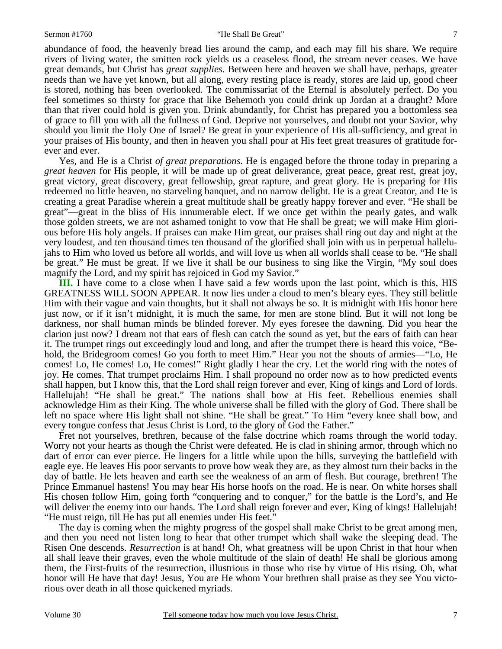abundance of food, the heavenly bread lies around the camp, and each may fill his share. We require rivers of living water, the smitten rock yields us a ceaseless flood, the stream never ceases. We have great demands, but Christ has *great supplies*. Between here and heaven we shall have, perhaps, greater needs than we have yet known, but all along, every resting place is ready, stores are laid up, good cheer is stored, nothing has been overlooked. The commissariat of the Eternal is absolutely perfect. Do you feel sometimes so thirsty for grace that like Behemoth you could drink up Jordan at a draught? More than that river could hold is given you. Drink abundantly, for Christ has prepared you a bottomless sea of grace to fill you with all the fullness of God. Deprive not yourselves, and doubt not your Savior, why should you limit the Holy One of Israel? Be great in your experience of His all-sufficiency, and great in your praises of His bounty, and then in heaven you shall pour at His feet great treasures of gratitude forever and ever.

 Yes, and He is a Christ *of great preparations*. He is engaged before the throne today in preparing a *great heaven* for His people, it will be made up of great deliverance, great peace, great rest, great joy, great victory, great discovery, great fellowship, great rapture, and great glory. He is preparing for His redeemed no little heaven, no starveling banquet, and no narrow delight. He is a great Creator, and He is creating a great Paradise wherein a great multitude shall be greatly happy forever and ever. "He shall be great"—great in the bliss of His innumerable elect. If we once get within the pearly gates, and walk those golden streets, we are not ashamed tonight to vow that He shall be great; we will make Him glorious before His holy angels. If praises can make Him great, our praises shall ring out day and night at the very loudest, and ten thousand times ten thousand of the glorified shall join with us in perpetual hallelujahs to Him who loved us before all worlds, and will love us when all worlds shall cease to be. "He shall be great." He must be great. If we live it shall be our business to sing like the Virgin, "My soul does magnify the Lord, and my spirit has rejoiced in God my Savior."

**III.** I have come to a close when I have said a few words upon the last point, which is this, HIS GREATNESS WILL SOON APPEAR. It now lies under a cloud to men's bleary eyes. They still belittle Him with their vague and vain thoughts, but it shall not always be so. It is midnight with His honor here just now, or if it isn't midnight, it is much the same, for men are stone blind. But it will not long be darkness, nor shall human minds be blinded forever. My eyes foresee the dawning. Did you hear the clarion just now? I dream not that ears of flesh can catch the sound as yet, but the ears of faith can hear it. The trumpet rings out exceedingly loud and long, and after the trumpet there is heard this voice, "Behold, the Bridegroom comes! Go you forth to meet Him." Hear you not the shouts of armies—"Lo, He comes! Lo, He comes! Lo, He comes!" Right gladly I hear the cry. Let the world ring with the notes of joy. He comes. That trumpet proclaims Him. I shall propound no order now as to how predicted events shall happen, but I know this, that the Lord shall reign forever and ever, King of kings and Lord of lords. Hallelujah! "He shall be great." The nations shall bow at His feet. Rebellious enemies shall acknowledge Him as their King. The whole universe shall be filled with the glory of God. There shall be left no space where His light shall not shine. "He shall be great." To Him "every knee shall bow, and every tongue confess that Jesus Christ is Lord, to the glory of God the Father."

 Fret not yourselves, brethren, because of the false doctrine which roams through the world today. Worry not your hearts as though the Christ were defeated. He is clad in shining armor, through which no dart of error can ever pierce. He lingers for a little while upon the hills, surveying the battlefield with eagle eye. He leaves His poor servants to prove how weak they are, as they almost turn their backs in the day of battle. He lets heaven and earth see the weakness of an arm of flesh. But courage, brethren! The Prince Emmanuel hastens! You may hear His horse hoofs on the road. He is near. On white horses shall His chosen follow Him, going forth "conquering and to conquer," for the battle is the Lord's, and He will deliver the enemy into our hands. The Lord shall reign forever and ever, King of kings! Hallelujah! "He must reign, till He has put all enemies under His feet."

 The day is coming when the mighty progress of the gospel shall make Christ to be great among men, and then you need not listen long to hear that other trumpet which shall wake the sleeping dead. The Risen One descends. *Resurrection* is at hand! Oh, what greatness will be upon Christ in that hour when all shall leave their graves, even the whole multitude of the slain of death! He shall be glorious among them, the First-fruits of the resurrection, illustrious in those who rise by virtue of His rising. Oh, what honor will He have that day! Jesus, You are He whom Your brethren shall praise as they see You victorious over death in all those quickened myriads.